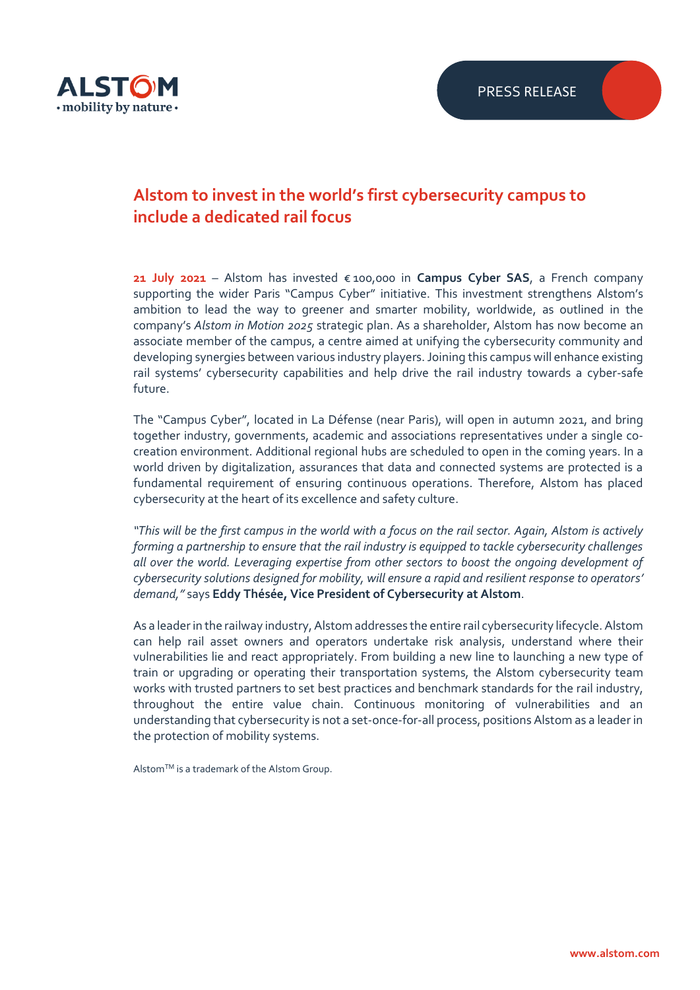

## **Alstom to invest in the world's first cybersecurity campus to include a dedicated rail focus**

**21 July 2021** – Alstom has invested € 100,000 in **Campus Cyber SAS**, a French company supporting the wider Paris "Campus Cyber" initiative. This investment strengthens Alstom's ambition to lead the way to greener and smarter mobility, worldwide, as outlined in the company's *Alstom in Motion 2025* strategic plan. As a shareholder, Alstom has now become an associate member of the campus, a centre aimed at unifying the cybersecurity community and developing synergies between various industry players. Joining this campus will enhance existing rail systems' cybersecurity capabilities and help drive the rail industry towards a cyber-safe future.

The "Campus Cyber", located in La Défense (near Paris), will open in autumn 2021, and bring together industry, governments, academic and associations representatives under a single cocreation environment. Additional regional hubs are scheduled to open in the coming years. In a world driven by digitalization, assurances that data and connected systems are protected is a fundamental requirement of ensuring continuous operations. Therefore, Alstom has placed cybersecurity at the heart of its excellence and safety culture.

*"This will be the first campus in the world with a focus on the rail sector. Again, Alstom is actively forming a partnership to ensure that the rail industry is equipped to tackle cybersecurity challenges all over the world. Leveraging expertise from other sectors to boost the ongoing development of cybersecurity solutions designed for mobility, will ensure a rapid and resilient response to operators' demand,"* says **Eddy Thésée, Vice President of Cybersecurity at Alstom**.

As a leader in the railway industry, Alstom addresses the entire rail cybersecurity lifecycle. Alstom can help rail asset owners and operators undertake risk analysis, understand where their vulnerabilities lie and react appropriately. From building a new line to launching a new type of train or upgrading or operating their transportation systems, the Alstom cybersecurity team works with trusted partners to set best practices and benchmark standards for the rail industry, throughout the entire value chain. Continuous monitoring of vulnerabilities and an understanding that cybersecurity is not a set-once-for-all process, positions Alstom as a leader in the protection of mobility systems.

AlstomTM is a trademark of the Alstom Group.